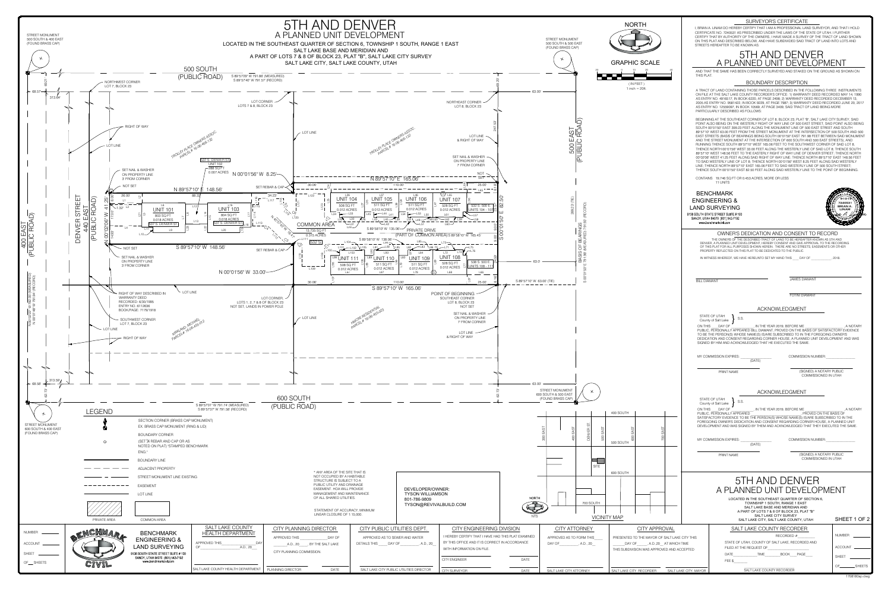| <b>NORTH</b>                                                                                         |                       | STREETS HEREAFTER TO BE KNOWN AS:                                                                                                                                          | <b>SURVEYOR'S CERTIFICATE</b><br>I, BRIAN A. LINAM DO HEREBY CERTIFY THAT I AM A PROFESSIONAL LAND SURVEYOR, AND THAT I HOLD<br>CERTIFICATE NO. 7240531 AS PRESCRIBED UNDER THE LAWS OF THE STATE OF UTAH. I FURTHER<br>CERTIFY THAT BY AUTHORITY OF THE OWNERS, I HAVE MADE A SURVEY OF THE TRACT OF LAND SHOWN<br>ON THIS PLAT AND DESCRIBED BELOW, AND HAVE SUBDIVIDED SAID TRACT OF LAND INTO LOTS AND<br>5TH AND DENVER                                                                                                                                                                                                                                                                                                                                                                                                                                                                                                                                                                                                                                                                                                                                                                                                                                |                                        |
|------------------------------------------------------------------------------------------------------|-----------------------|----------------------------------------------------------------------------------------------------------------------------------------------------------------------------|-------------------------------------------------------------------------------------------------------------------------------------------------------------------------------------------------------------------------------------------------------------------------------------------------------------------------------------------------------------------------------------------------------------------------------------------------------------------------------------------------------------------------------------------------------------------------------------------------------------------------------------------------------------------------------------------------------------------------------------------------------------------------------------------------------------------------------------------------------------------------------------------------------------------------------------------------------------------------------------------------------------------------------------------------------------------------------------------------------------------------------------------------------------------------------------------------------------------------------------------------------------|----------------------------------------|
| <b>APHIC SCALE</b>                                                                                   |                       |                                                                                                                                                                            | A PLANNED UNIT DEVELOPMENT                                                                                                                                                                                                                                                                                                                                                                                                                                                                                                                                                                                                                                                                                                                                                                                                                                                                                                                                                                                                                                                                                                                                                                                                                                  |                                        |
| 10<br>20                                                                                             | THIS PLAT.            |                                                                                                                                                                            | AND THAT THE SAME HAS BEEN CORRECTLY SURVEYED AND STAKED ON THE GROUND AS SHOWN ON<br><b>BOUNDARY DESCRIPTION</b>                                                                                                                                                                                                                                                                                                                                                                                                                                                                                                                                                                                                                                                                                                                                                                                                                                                                                                                                                                                                                                                                                                                                           |                                        |
| (INFEET)<br>1 inch = $20$ ft.                                                                        |                       | PARTICULARLY DESCRIBED AS FOLLOWS:                                                                                                                                         | A TRACT OF LAND CONTAINING THOSE PARCELS DESCRIBED IN THE FOLLOWING THREE INSTRUMENTS<br>ON FILE AT THE SALT LAKE COUNTY RECORDER'S OFFICE: 1) WARRANTY DEED RECORDED MAY 14, 1990<br>AS ENTRY NO. 4916517, IN BOOK 6220, AT PAGE 2498; 2) WARRANTY DEED RECORDED DECEMBER 13,<br>2005 AS ENTRY NO. 9581422, IN BOOK 9229, AT PAGE 7987; 3) WARRANTY DEED RECORDED JUNE 20, 2017<br>AS ENTRY NO. 12559097, IN BOOK 10569, AT PAGE 3409, SAID TRACT OF LAND BEING MORE                                                                                                                                                                                                                                                                                                                                                                                                                                                                                                                                                                                                                                                                                                                                                                                       |                                        |
|                                                                                                      |                       |                                                                                                                                                                            | BEGINNING AT THE SOUTHEAST CORNER OF LOT 8, BLOCK 23, PLAT "B", SALT LAKE CITY SURVEY, SAID<br>POINT ALSO BEING ON THE WESTERLY RIGHT OF WAY LINE OF 500 EAST STREET, SAID POINT ALSO BEING<br>SOUTH 00°01'50" EAST 399.23 FEET ALONG THE MONUMENT LINE OF 500 EAST STREET AND SOUTH<br>89°57'10" WEST 63.00 FEET FROM THE STREET MONUMENT AT THE INTERSECTION OF 500 SOUTH AND 500<br>EAST STREETS (BASIS OF BEARINGS BEING SOUTH 00°01'50" EAST 791.98 FEET BETWEEN SAID MONUMENT<br>AND THE STREET MONUMENT AT THE INTERSECTION OF 600 SOUTH AND 500 EAST STREETS), AND<br>RUNNING THENCE SOUTH 89°57'10" WEST 165.06 FEET TO THE SOUTHWEST CORNER OF SAID LOT 8,<br>THENCE NORTH 00°01'56" WEST 33.00 FEET ALONG THE WESTERLY LINE OF SAID LOT 8; THENCE SOUTH<br>89°57'10" WEST 148.56 FEET TO THE EASTERLY RIGHT OF WAY LINE OF DENVER STREET; THENCE NORTH<br>00°02'06" WEST 41.25 FEET ALONG SAID RIGHT OF WAY LINE; THENCE NORTH 89°57'10" EAST 148.56 FEET<br>TO SAID WESTERLY LINE OF LOT 8; THENCE NORTH 00°01'56" WEST 8.25 FEET ALONG SAID WESTERLY<br>LINE; THENCE NORTH 89°57'10" EAST 165.06 FEET TO SAID WESTERLY LINE OF 500 SOUTH STREET;<br>THENCE SOUTH 00°01'50" EAST 82.50 FEET ALONG SAID WESTERLY LINE TO THE POINT OF BEGINNING. |                                        |
|                                                                                                      |                       | CONTAINS 19,746 SQ FT OR 0.453 ACRES, MORE OR LESS<br>11 UNITS                                                                                                             |                                                                                                                                                                                                                                                                                                                                                                                                                                                                                                                                                                                                                                                                                                                                                                                                                                                                                                                                                                                                                                                                                                                                                                                                                                                             |                                        |
|                                                                                                      |                       | <b>BENCHMARK</b><br><b>ENGINEERING &amp;</b><br><b>LAND SURVEYING</b><br>9138 SOUTH STATE STREET SUITE # 100<br>SANDY, UTAH 84070 (801) 542-7192<br>www.benchmarkcivil.com |                                                                                                                                                                                                                                                                                                                                                                                                                                                                                                                                                                                                                                                                                                                                                                                                                                                                                                                                                                                                                                                                                                                                                                                                                                                             | 724053<br>BRIAN A<br><b>LINAM</b>      |
|                                                                                                      |                       | PROPERTY REFLECTED ON THIS PLAT TO BE DEDICATED TO THE PUBLIC.                                                                                                             | OWNER'S DEDICATION AND CONSENT TO RECORD<br>THE OWNERS OF THE DESCRIBED TRACT OF LAND TO BE HEREAFTER KNOWN AS 5TH AND<br>DENVER, A PLANNED UNIT DEVELOPMENT, HEREBY CONSENT AND GIVE APPROVAL TO THE RECORDING<br>OF THIS PLAT FOR ALL PURPOSES SHOWN HEREIN. THERE ARE NO STREETS, EASEMENTS OR OTHER<br>IN WITNESS WHEREOF, WE HAVE HEREUNTO SET MY HAND THIS DAY OF 6 (2018.                                                                                                                                                                                                                                                                                                                                                                                                                                                                                                                                                                                                                                                                                                                                                                                                                                                                            |                                        |
|                                                                                                      | <b>BILL DIAMANT</b>   |                                                                                                                                                                            | <b>JAMES DIAMANT</b>                                                                                                                                                                                                                                                                                                                                                                                                                                                                                                                                                                                                                                                                                                                                                                                                                                                                                                                                                                                                                                                                                                                                                                                                                                        |                                        |
|                                                                                                      |                       |                                                                                                                                                                            | <b>FOTINI DIAMANT</b>                                                                                                                                                                                                                                                                                                                                                                                                                                                                                                                                                                                                                                                                                                                                                                                                                                                                                                                                                                                                                                                                                                                                                                                                                                       |                                        |
|                                                                                                      |                       | STATE OF UTAH<br>S.S.<br>County of Salt Lake<br>ON THIS DAY OF<br>SIGNED BY HIM AND ACKNOWLEDGED THAT HE EXECUTED THE SAME.                                                | <b>ACKNOWLEDGMENT</b><br>, IN THE YEAR 2019, BEFORE ME _____________________, A NOTARY<br>PUBLIC, PERSONALLY APPEARED BILL DIAMANT, PROVED ON THE BASIS OF SATISFACTORY EVIDENCE<br>TO BE THE PERSON(S) WHOSE NAME(S) IS/ARE SUBSCRIBED TO IN THE FOREGOING OWNER'S<br>DEDICATION AND CONSENT REGARDING CORNER HOUSE, A PLANNED UNIT DEVELOPMENT AND WAS                                                                                                                                                                                                                                                                                                                                                                                                                                                                                                                                                                                                                                                                                                                                                                                                                                                                                                    |                                        |
|                                                                                                      |                       | MY COMMISSION EXPIRES:<br>(DATE)                                                                                                                                           | <b>COMMISSION NUMBER:</b>                                                                                                                                                                                                                                                                                                                                                                                                                                                                                                                                                                                                                                                                                                                                                                                                                                                                                                                                                                                                                                                                                                                                                                                                                                   |                                        |
|                                                                                                      |                       | PRINT NAME                                                                                                                                                                 | (SIGNED) A NOTARY PUBLIC<br>COMMISSIONED IN UTAH                                                                                                                                                                                                                                                                                                                                                                                                                                                                                                                                                                                                                                                                                                                                                                                                                                                                                                                                                                                                                                                                                                                                                                                                            |                                        |
|                                                                                                      |                       |                                                                                                                                                                            | ACKNOWLEDGMENT                                                                                                                                                                                                                                                                                                                                                                                                                                                                                                                                                                                                                                                                                                                                                                                                                                                                                                                                                                                                                                                                                                                                                                                                                                              |                                        |
| <b>OUTH</b><br>EAST<br>EAST                                                                          | ON THIS               | STATE OF UTAH<br>S.S.<br>County of Salt Lake<br>DAY OF<br>PUBLIC, PERSONALLY APPEARED                                                                                      | , IN THE YEAR 2019, BEFORE ME ___________________<br>, PROVED ON THE BASIS OF<br>SATISFACTORY EVIDENCE TO BE THE PERSON(S) WHOSE NAME(S) IS/ARE SUBSCRIBED TO IN THE<br>FOREGOING OWNER'S DEDICATION AND CONSENT REGARDING CORNER HOUSE, A PLANNED UNIT<br>DEVELOPMENT AND WAS SIGNED BY THEM AND ACKNOWLEDGED THAT THEY EXECUTED THE SAME.                                                                                                                                                                                                                                                                                                                                                                                                                                                                                                                                                                                                                                                                                                                                                                                                                                                                                                                 | A NOTARY                               |
| 600<br>700<br><b>OUTH</b>                                                                            |                       | MY COMMISSION EXPIRES:<br>(DATE)                                                                                                                                           | <b>COMMISSION NUMBER:</b>                                                                                                                                                                                                                                                                                                                                                                                                                                                                                                                                                                                                                                                                                                                                                                                                                                                                                                                                                                                                                                                                                                                                                                                                                                   |                                        |
|                                                                                                      |                       | PRINT NAME                                                                                                                                                                 | (SIGNED) A NOTARY PUBLIC<br><b>COMMISSIONED IN UTAH</b>                                                                                                                                                                                                                                                                                                                                                                                                                                                                                                                                                                                                                                                                                                                                                                                                                                                                                                                                                                                                                                                                                                                                                                                                     |                                        |
| <b>OUTH</b>                                                                                          |                       |                                                                                                                                                                            | 5TH AND DENVER<br>A PLANNED UNIT DEVELOPMENT<br>LOCATED IN THE SOUTHEAST QUARTER OF SECTION 6,<br>TOWNSHIP 1 SOUTH, RANGE 1 EAST<br>SALT LAKE BASE AND MERIDIAN AND<br>A PART OF LOTS 7 & 8 OF BLOCK 23, PLAT "B"                                                                                                                                                                                                                                                                                                                                                                                                                                                                                                                                                                                                                                                                                                                                                                                                                                                                                                                                                                                                                                           |                                        |
|                                                                                                      |                       |                                                                                                                                                                            | SALT LAKE CITY SURVEY<br>SALT LAKE CITY, SALT LAKE COUNTY, UTAH                                                                                                                                                                                                                                                                                                                                                                                                                                                                                                                                                                                                                                                                                                                                                                                                                                                                                                                                                                                                                                                                                                                                                                                             | SHEET 1 OF 2                           |
| <b>CITY APPROVAL</b><br>SENTED TO THE MAYOR OF SALT LAKE CITY THIS<br>DAY OF , A.D.,20 AT WHICH TIME |                       |                                                                                                                                                                            | SALT LAKE COUNTY RECORDER<br>RECORDED $#$<br>STATE OF UTAH, COUNTY OF SALT LAKE, RECORDED AND                                                                                                                                                                                                                                                                                                                                                                                                                                                                                                                                                                                                                                                                                                                                                                                                                                                                                                                                                                                                                                                                                                                                                               | NUMBER _________<br>ACCOUNT            |
| SUBDIVISION WAS APPROVED AND ACCEPTED                                                                |                       | FEE \$                                                                                                                                                                     | DATE TIME BOOK PAGE                                                                                                                                                                                                                                                                                                                                                                                                                                                                                                                                                                                                                                                                                                                                                                                                                                                                                                                                                                                                                                                                                                                                                                                                                                         | <b>SHEET</b>                           |
| LAKE CITY RECORDER                                                                                   | SALT LAKE CITY. MAYOR |                                                                                                                                                                            | SALT LAKE COUNTY RECORDER                                                                                                                                                                                                                                                                                                                                                                                                                                                                                                                                                                                                                                                                                                                                                                                                                                                                                                                                                                                                                                                                                                                                                                                                                                   | OF_____________SHEETS<br>1708180sp.dwg |
|                                                                                                      |                       |                                                                                                                                                                            |                                                                                                                                                                                                                                                                                                                                                                                                                                                                                                                                                                                                                                                                                                                                                                                                                                                                                                                                                                                                                                                                                                                                                                                                                                                             |                                        |